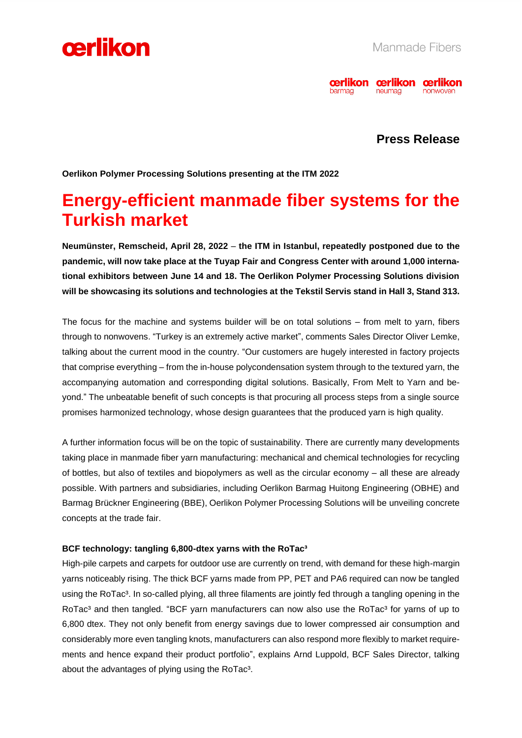



### **Press Release**

**Oerlikon Polymer Processing Solutions presenting at the ITM 2022** 

## **Energy-efficient manmade fiber systems for the Turkish market**

**Neumünster, Remscheid, April 28, 2022** – **the ITM in Istanbul, repeatedly postponed due to the pandemic, will now take place at the Tuyap Fair and Congress Center with around 1,000 international exhibitors between June 14 and 18. The Oerlikon Polymer Processing Solutions division will be showcasing its solutions and technologies at the Tekstil Servis stand in Hall 3, Stand 313.** 

The focus for the machine and systems builder will be on total solutions – from melt to yarn, fibers through to nonwovens. "Turkey is an extremely active market", comments Sales Director Oliver Lemke, talking about the current mood in the country. "Our customers are hugely interested in factory projects that comprise everything – from the in-house polycondensation system through to the textured yarn, the accompanying automation and corresponding digital solutions. Basically, From Melt to Yarn and beyond." The unbeatable benefit of such concepts is that procuring all process steps from a single source promises harmonized technology, whose design guarantees that the produced yarn is high quality.

A further information focus will be on the topic of sustainability. There are currently many developments taking place in manmade fiber yarn manufacturing: mechanical and chemical technologies for recycling of bottles, but also of textiles and biopolymers as well as the circular economy – all these are already possible. With partners and subsidiaries, including Oerlikon Barmag Huitong Engineering (OBHE) and Barmag Brückner Engineering (BBE), Oerlikon Polymer Processing Solutions will be unveiling concrete concepts at the trade fair.

#### **BCF technology: tangling 6,800-dtex yarns with the RoTac³**

High-pile carpets and carpets for outdoor use are currently on trend, with demand for these high-margin yarns noticeably rising. The thick BCF yarns made from PP, PET and PA6 required can now be tangled using the RoTac<sup>3</sup>. In so-called plying, all three filaments are jointly fed through a tangling opening in the RoTac<sup>3</sup> and then tangled. "BCF yarn manufacturers can now also use the RoTac<sup>3</sup> for yarns of up to 6,800 dtex. They not only benefit from energy savings due to lower compressed air consumption and considerably more even tangling knots, manufacturers can also respond more flexibly to market requirements and hence expand their product portfolio", explains Arnd Luppold, BCF Sales Director, talking about the advantages of plying using the RoTac<sup>3</sup>.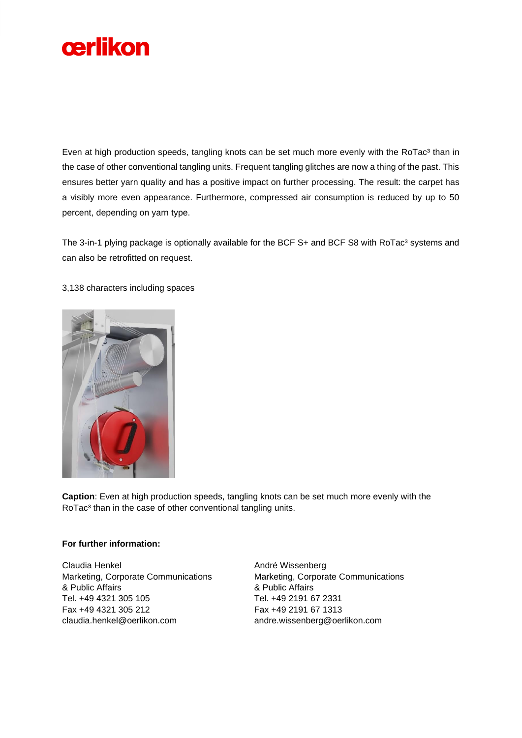

Even at high production speeds, tangling knots can be set much more evenly with the RoTac<sup>3</sup> than in the case of other conventional tangling units. Frequent tangling glitches are now a thing of the past. This ensures better yarn quality and has a positive impact on further processing. The result: the carpet has a visibly more even appearance. Furthermore, compressed air consumption is reduced by up to 50 percent, depending on yarn type.

The 3-in-1 plying package is optionally available for the BCF S+ and BCF S8 with RoTac<sup>3</sup> systems and can also be retrofitted on request.

#### 3,138 characters including spaces



**Caption**: Even at high production speeds, tangling knots can be set much more evenly with the RoTac<sup>3</sup> than in the case of other conventional tangling units.

#### **For further information:**

Claudia Henkel Marketing, Corporate Communications & Public Affairs Tel. +49 4321 305 105 Fax +49 4321 305 212 claudia.henkel@oerlikon.com

André Wissenberg Marketing, Corporate Communications & Public Affairs Tel. +49 2191 67 2331 Fax +49 2191 67 1313 andre.wissenberg@oerlikon.com